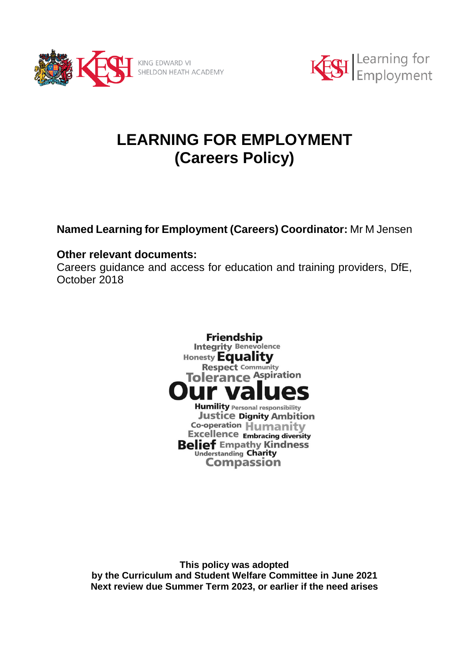



# **LEARNING FOR EMPLOYMENT (Careers Policy)**

**Named Learning for Employment (Careers) Coordinator:** Mr M Jensen

# **Other relevant documents:**

Careers guidance and access for education and training providers, DfE, October 2018



**This policy was adopted by the Curriculum and Student Welfare Committee in June 2021 Next review due Summer Term 2023, or earlier if the need arises**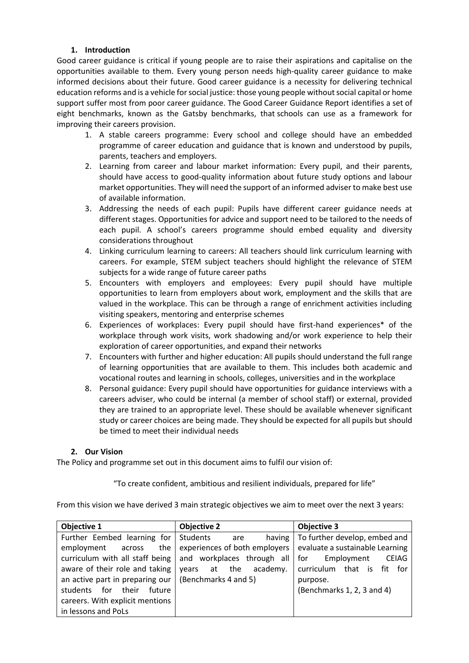#### **1. Introduction**

Good career guidance is critical if young people are to raise their aspirations and capitalise on the opportunities available to them. Every young person needs high-quality career guidance to make informed decisions about their future. Good career guidance is a necessity for delivering technical education reforms and is a vehicle for social justice: those young people without social capital or home support suffer most from poor career guidance. The Good Career Guidance Report identifies a set of eight benchmarks, known as the Gatsby benchmarks, that schools can use as a framework for improving their careers provision.

- 1. A stable careers programme: Every school and college should have an embedded programme of career education and guidance that is known and understood by pupils, parents, teachers and employers.
- 2. Learning from career and labour market information: Every pupil, and their parents, should have access to good-quality information about future study options and labour market opportunities. They will need the support of an informed adviser to make best use of available information.
- 3. Addressing the needs of each pupil: Pupils have different career guidance needs at different stages. Opportunities for advice and support need to be tailored to the needs of each pupil. A school's careers programme should embed equality and diversity considerations throughout
- 4. Linking curriculum learning to careers: All teachers should link curriculum learning with careers. For example, STEM subject teachers should highlight the relevance of STEM subjects for a wide range of future career paths
- 5. Encounters with employers and employees: Every pupil should have multiple opportunities to learn from employers about work, employment and the skills that are valued in the workplace. This can be through a range of enrichment activities including visiting speakers, mentoring and enterprise schemes
- 6. Experiences of workplaces: Every pupil should have first-hand experiences\* of the workplace through work visits, work shadowing and/or work experience to help their exploration of career opportunities, and expand their networks
- 7. Encounters with further and higher education: All pupils should understand the full range of learning opportunities that are available to them. This includes both academic and vocational routes and learning in schools, colleges, universities and in the workplace
- 8. Personal guidance: Every pupil should have opportunities for guidance interviews with a careers adviser, who could be internal (a member of school staff) or external, provided they are trained to an appropriate level. These should be available whenever significant study or career choices are being made. They should be expected for all pupils but should be timed to meet their individual needs

# **2. Our Vision**

The Policy and programme set out in this document aims to fulfil our vision of:

"To create confident, ambitious and resilient individuals, prepared for life"

From this vision we have derived 3 main strategic objectives we aim to meet over the next 3 years:

| <b>Objective 1</b>                     | <b>Objective 2</b>            | <b>Objective 3</b>                |
|----------------------------------------|-------------------------------|-----------------------------------|
| Further Eembed learning for            | Students<br>having<br>are     | To further develop, embed and     |
| employment<br>the<br>across            | experiences of both employers | evaluate a sustainable Learning   |
| curriculum with all staff being        | and workplaces through all    | Employment<br><b>CEIAG</b><br>for |
| aware of their role and taking         | at the academy.<br>vears      | curriculum<br>that is fit for     |
| an active part in preparing our        | (Benchmarks 4 and 5)          | purpose.                          |
| their<br>for for<br>future<br>students |                               | (Benchmarks 1, 2, 3 and 4)        |
| careers. With explicit mentions        |                               |                                   |
| in lessons and PoLs                    |                               |                                   |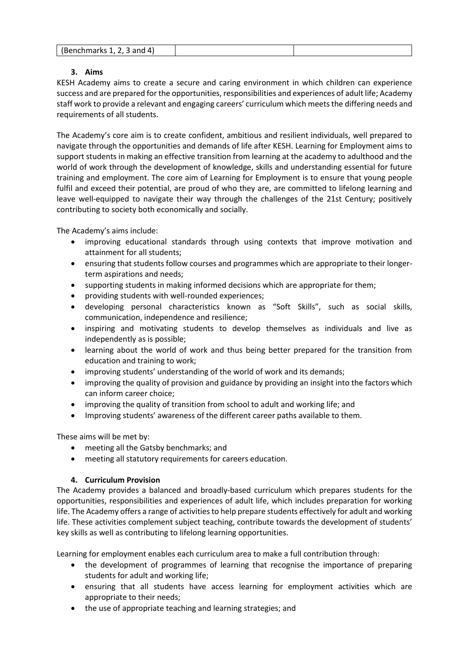|  | (Benchmarks $1, 2, 3$ and $4$ ) |  |  |
|--|---------------------------------|--|--|
|--|---------------------------------|--|--|

# **3. Aims**

KESH Academy aims to create a secure and caring environment in which children can experience success and are prepared for the opportunities, responsibilities and experiences of adult life; Academy staff work to provide a relevant and engaging careers' curriculum which meets the differing needs and requirements of all students.

The Academy's core aim is to create confident, ambitious and resilient individuals, well prepared to navigate through the opportunities and demands of life after KESH. Learning for Employment aims to support students in making an effective transition from learning at the academy to adulthood and the world of work through the development of knowledge, skills and understanding essential for future training and employment. The core aim of Learning for Employment is to ensure that young people fulfil and exceed their potential, are proud of who they are, are committed to lifelong learning and leave well-equipped to navigate their way through the challenges of the 21st Century; positively contributing to society both economically and socially.

The Academy's aims include:

- improving educational standards through using contexts that improve motivation and attainment for all students;
- ensuring that students follow courses and programmes which are appropriate to their longerterm aspirations and needs;
- supporting students in making informed decisions which are appropriate for them;
- providing students with well-rounded experiences;
- developing personal characteristics known as "Soft Skills", such as social skills, communication, independence and resilience;
- inspiring and motivating students to develop themselves as individuals and live as independently as is possible;
- learning about the world of work and thus being better prepared for the transition from education and training to work;
- improving students' understanding of the world of work and its demands;
- improving the quality of provision and guidance by providing an insight into the factors which can inform career choice;
- improving the quality of transition from school to adult and working life; and
- Improving students' awareness of the different career paths available to them.

These aims will be met by:

- meeting all the Gatsby benchmarks; and
- meeting all statutory requirements for careers education.

# **4. Curriculum Provision**

The Academy provides a balanced and broadly-based curriculum which prepares students for the opportunities, responsibilities and experiences of adult life, which includes preparation for working life. The Academy offers a range of activities to help prepare students effectively for adult and working life. These activities complement subject teaching, contribute towards the development of students' key skills as well as contributing to lifelong learning opportunities.

Learning for employment enables each curriculum area to make a full contribution through:

- the development of programmes of learning that recognise the importance of preparing students for adult and working life;
- ensuring that all students have access learning for employment activities which are appropriate to their needs;
- the use of appropriate teaching and learning strategies; and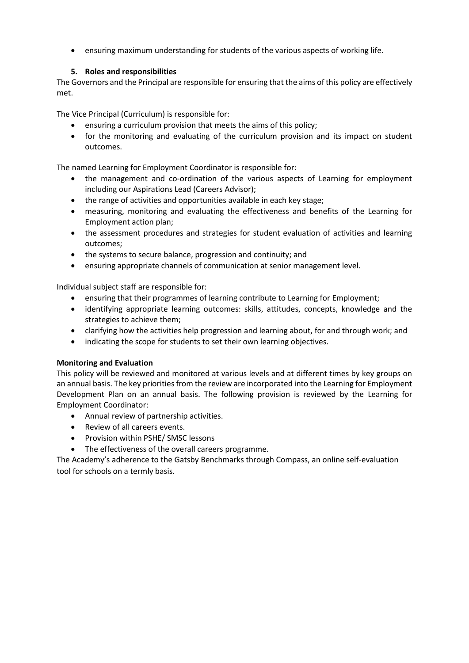ensuring maximum understanding for students of the various aspects of working life.

# **5. Roles and responsibilities**

The Governors and the Principal are responsible for ensuring that the aims of this policy are effectively met.

The Vice Principal (Curriculum) is responsible for:

- ensuring a curriculum provision that meets the aims of this policy;
- for the monitoring and evaluating of the curriculum provision and its impact on student outcomes.

The named Learning for Employment Coordinator is responsible for:

- the management and co-ordination of the various aspects of Learning for employment including our Aspirations Lead (Careers Advisor);
- the range of activities and opportunities available in each key stage;
- measuring, monitoring and evaluating the effectiveness and benefits of the Learning for Employment action plan;
- the assessment procedures and strategies for student evaluation of activities and learning outcomes;
- the systems to secure balance, progression and continuity; and
- ensuring appropriate channels of communication at senior management level.

Individual subject staff are responsible for:

- ensuring that their programmes of learning contribute to Learning for Employment;
- identifying appropriate learning outcomes: skills, attitudes, concepts, knowledge and the strategies to achieve them;
- clarifying how the activities help progression and learning about, for and through work; and
- indicating the scope for students to set their own learning objectives.

# **Monitoring and Evaluation**

This policy will be reviewed and monitored at various levels and at different times by key groups on an annual basis. The key priorities from the review are incorporated into the Learning for Employment Development Plan on an annual basis. The following provision is reviewed by the Learning for Employment Coordinator:

- Annual review of partnership activities.
- Review of all careers events.
- Provision within PSHE/ SMSC lessons
- The effectiveness of the overall careers programme.

The Academy's adherence to the Gatsby Benchmarks through Compass, an online self-evaluation tool for schools on a termly basis.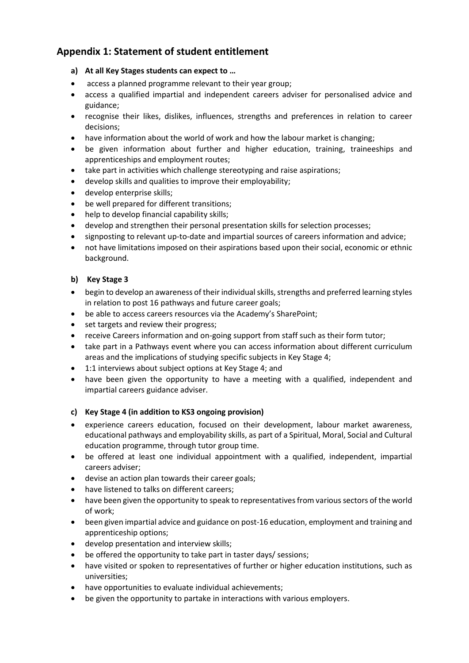# **Appendix 1: Statement of student entitlement**

- **a) At all Key Stages students can expect to …**
- access a planned programme relevant to their year group;
- access a qualified impartial and independent careers adviser for personalised advice and guidance;
- recognise their likes, dislikes, influences, strengths and preferences in relation to career decisions;
- have information about the world of work and how the labour market is changing;
- be given information about further and higher education, training, traineeships and apprenticeships and employment routes;
- take part in activities which challenge stereotyping and raise aspirations;
- develop skills and qualities to improve their employability;
- develop enterprise skills;
- be well prepared for different transitions;
- help to develop financial capability skills;
- develop and strengthen their personal presentation skills for selection processes;
- signposting to relevant up-to-date and impartial sources of careers information and advice;
- not have limitations imposed on their aspirations based upon their social, economic or ethnic background.

# **b) Key Stage 3**

- begin to develop an awareness of their individual skills, strengths and preferred learning styles in relation to post 16 pathways and future career goals;
- be able to access careers resources via the Academy's SharePoint;
- set targets and review their progress;
- receive Careers information and on-going support from staff such as their form tutor;
- take part in a Pathways event where you can access information about different curriculum areas and the implications of studying specific subjects in Key Stage 4;
- 1:1 interviews about subject options at Key Stage 4; and
- have been given the opportunity to have a meeting with a qualified, independent and impartial careers guidance adviser.

# **c) Key Stage 4 (in addition to KS3 ongoing provision)**

- experience careers education, focused on their development, labour market awareness, educational pathways and employability skills, as part of a Spiritual, Moral, Social and Cultural education programme, through tutor group time.
- be offered at least one individual appointment with a qualified, independent, impartial careers adviser;
- devise an action plan towards their career goals;
- have listened to talks on different careers;
- have been given the opportunity to speak to representatives from various sectors of the world of work;
- been given impartial advice and guidance on post-16 education, employment and training and apprenticeship options;
- develop presentation and interview skills;
- be offered the opportunity to take part in taster days/ sessions;
- have visited or spoken to representatives of further or higher education institutions, such as universities;
- have opportunities to evaluate individual achievements;
- be given the opportunity to partake in interactions with various employers.